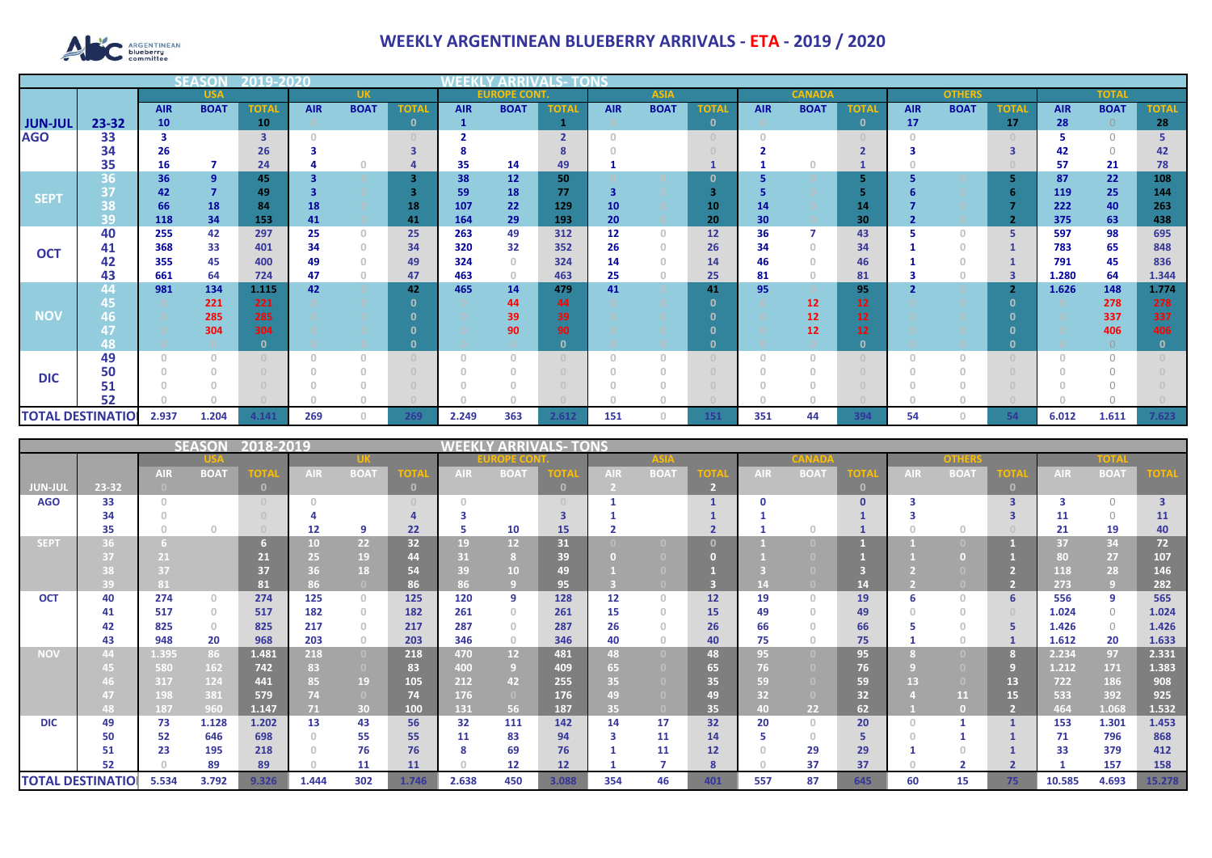

## **WEEKLY ARGENTINEAN BLUEBERRY ARRIVALS - ETA - 2019 / 2020**

|                          |                          | 5 F A 9 | 2019-2020      |              |            |              |                |            |                     |                |            |             |              |            |                   |              |            |               |              |            |                |              |  |
|--------------------------|--------------------------|---------|----------------|--------------|------------|--------------|----------------|------------|---------------------|----------------|------------|-------------|--------------|------------|-------------------|--------------|------------|---------------|--------------|------------|----------------|--------------|--|
|                          | <b>USA</b><br><b>AIR</b> |         |                |              |            | <b>UK</b>    |                |            | <b>EUROPE CONT.</b> |                |            | <b>ASIA</b> |              |            | <b>CANADA</b>     |              |            | <b>OTHERS</b> |              |            | <b>TOTAL</b>   |              |  |
|                          |                          |         | <b>BOAT</b>    | <b>TOTAL</b> | <b>AIR</b> | <b>BOAT</b>  | <b>TOTA</b>    | <b>AIR</b> | <b>BOAT</b>         | <b>TOTAL</b>   | <b>AIR</b> | <b>BOAT</b> | <b>TOTAL</b> | <b>AIR</b> | <b>BOAT</b>       | <b>TOTAI</b> | <b>AIR</b> | <b>BOAT</b>   | <b>TOTAL</b> | <b>AIR</b> | <b>BOAT</b>    | <b>TOTAL</b> |  |
| <b>JUN-JUL</b>           | 23-32                    | 10      |                | 10           |            |              | $\mathbf{0}$   |            |                     |                |            |             | $\mathbf 0$  |            |                   | $\mathbf{0}$ | 17         |               | 17           | 28         | $\overline{0}$ | 28           |  |
| <b>AGO</b>               | 33                       | 3       |                | з            |            |              |                |            |                     | $\overline{2}$ | $\cap$     |             |              |            |                   |              |            |               |              |            |                |              |  |
|                          | 34                       | 26      |                | 26           |            |              |                |            |                     |                |            |             |              |            |                   |              |            |               | 3            | 42         | $\cap$         | 42           |  |
|                          | 35                       | 16      |                | 24           |            |              |                | 35         | 14                  | 49             |            |             |              |            |                   |              |            |               |              | 57         | 21             | 78           |  |
| <b>SEPT</b>              | 36                       | 36      | $\overline{9}$ | 45           |            |              | $\overline{3}$ | 38         | 12                  | 50             |            |             | $\Omega$     |            |                   |              |            |               |              | 87         | 22             | 108          |  |
|                          | 37                       | 42      | $\overline{7}$ | 49           |            |              |                | 59         | 18                  | 77             | 3          |             | 3            |            |                   |              |            |               |              | 119        | 25             | 144          |  |
|                          | 38                       | 66      | 18             | 84           | 18         |              | 18             | 107        | 22                  | 129            | 10         |             | 10           | 14         |                   | 14           |            |               |              | 222        | 40             | 263          |  |
|                          | 39                       | 118     | 34             | 153          | 41         |              | 41             | 164        | 29                  | 193            | 20         |             | 20           | 30         |                   | 30           |            |               |              | 375        | 63             | 438          |  |
| <b>OCT</b>               | 40                       | 255     | 42             | 297          | 25         | $\mathbf{0}$ | 25             | 263        | 49                  | 312            | 12         | $\Omega$    | 12           | 36         |                   | 43           | 5          | $\Omega$      | 5            | 597        | 98             | 695          |  |
|                          | 41                       | 368     | 33             | 401          | 34         | $\mathbf{0}$ | 34             | 320        | 32                  | 352            | 26         | $\Omega$    | 26           | 34         |                   | 34           |            | $\Omega$      |              | 783        | 65             | 848          |  |
|                          | 42                       | 355     | 45             | 400          | 49         | $\mathbf{0}$ | 49             | 324        | $\Omega$            | 324            | 14         | $\Box$      | 14           | 46         |                   | 46           |            | $\Omega$      |              | 791        | 45             | 836          |  |
|                          | 43                       | 661     | 64             | 724          | 47         | $\circ$      | 47             | 463        | $\circ$             | 463            | 25         | $\Omega$    | 25           | 81         |                   | 81           |            | 0             | 3            | 1.280      | 64             | 1.344        |  |
|                          | 44                       | 981     | 134            | 1.115        | 42         |              | 42             | 465        | 14                  | 479            | 41         |             | 41           | 95         |                   | 95           |            |               |              | 1.626      | 148            | 1.774        |  |
|                          | 45                       |         | 221            | 221          |            |              | $\Omega$       |            | 44                  | 44             |            |             | $\Omega$     |            | $12 \overline{ }$ | 12           |            |               |              |            | 278            | 278          |  |
| <b>NOV</b>               | 46                       |         | 285            | 285          |            |              |                |            | 39                  | 39             |            |             |              |            | 12                | 12           |            |               |              |            | 337            | 337          |  |
|                          |                          |         | 304            | 304          |            |              |                |            | 90                  | 90             |            |             |              |            | 12                | 12           |            |               |              |            | 406            | 406          |  |
|                          | 48                       |         |                |              |            |              |                |            |                     |                |            |             |              |            |                   | $\Omega$     |            |               |              |            |                |              |  |
|                          | 49                       |         | $\Box$         |              |            | $\Omega$     |                | $\Omega$   |                     |                | $\cap$     |             |              |            |                   |              |            | $\Omega$      |              |            |                |              |  |
| <b>DIC</b>               | 50                       |         |                |              |            |              |                |            |                     |                |            |             |              |            |                   |              |            |               |              |            |                |              |  |
|                          | 51                       |         |                |              |            |              |                |            |                     |                |            |             |              |            |                   |              |            |               |              |            |                |              |  |
|                          | 52                       |         |                |              |            |              |                |            |                     |                |            |             |              |            |                   |              |            |               |              |            |                |              |  |
| <b>TOTAL DESTINATIOI</b> |                          | 2.937   | 1.204          | 4.141        | 269        | $\Omega$     | 269            | 2.249      | 363                 | 2.612          | 151        | $\Omega$    | 151          | 351        | 44                | 394          | 54         | $\Omega$      |              | 6.012      | 1.611          | 7.623        |  |

|                          |          | WEEKI<br>' ARRIVAI<br>LS- TONS |              |             |            |                |                                  |             |                 |          |            |                                  |         |            |             |              |            |             |                         |            |             |                         |
|--------------------------|----------|--------------------------------|--------------|-------------|------------|----------------|----------------------------------|-------------|-----------------|----------|------------|----------------------------------|---------|------------|-------------|--------------|------------|-------------|-------------------------|------------|-------------|-------------------------|
|                          |          |                                |              |             |            |                | <b>OPE CO</b>                    |             |                 |          |            |                                  |         |            | onhar       |              |            | TOIF        |                         |            |             |                         |
|                          |          | <b>AIR</b>                     | <b>BOAT</b>  | <b>TOTA</b> | <b>AIR</b> | <b>BOAT</b>    | OT                               | <b>AIR</b>  | <b>BOAT</b>     |          | <b>AIR</b> | <b>BOA1</b>                      |         | <b>AIR</b> | <b>BOAT</b> | <b>TOTA</b>  | <b>AIR</b> | <b>BOAT</b> | <b>OTA</b>              | <b>AIR</b> | <b>BOAT</b> | <b>OTA</b>              |
| <b>JUN-JUL</b>           | 23-32    | $\Box$                         |              |             |            |                | $\mathbf{0}$                     |             |                 | $\Omega$ |            |                                  |         |            |             | $\mathbf{0}$ |            |             |                         |            |             |                         |
| <b>AGO</b>               | 33       | $\cap$                         |              |             |            |                | $\begin{array}{c} \n\end{array}$ |             |                 |          |            |                                  |         |            |             | $\Omega$     |            |             | $\overline{\mathbf{3}}$ |            | $\bigcirc$  | $\overline{\mathbf{3}}$ |
|                          | 34       |                                |              |             |            |                |                                  |             |                 |          |            |                                  |         |            |             |              |            |             |                         | 11         | $\Omega$    | <b>11</b>               |
|                          | 35       |                                | $\cap$       |             | 12         | -9             | 22                               | 5           | 10              | 15       |            |                                  |         |            |             |              |            | $\Omega$    |                         | 21         | 19          | 40                      |
| <b>SEPT</b>              | 36       |                                |              |             | 10         | 22             | 32                               | 19          | 12              | 31       |            |                                  |         |            |             |              |            |             |                         | 37         | 34          | 72                      |
|                          |          | 21                             |              | 21          | 25         | 19             | 44                               | 31          |                 | 39       |            |                                  |         |            |             |              |            |             |                         | 80         | 27          | 107                     |
|                          |          | 37                             |              | 37          | 36         | 18             | 54                               | 39          | 10 <sup>°</sup> | 49       |            |                                  |         |            |             |              |            |             |                         | 118        | 28          | 146                     |
|                          | 39       | 81                             |              | 81          | 86         |                | 86                               | 86          |                 | 95       |            |                                  |         |            |             | 14           |            |             |                         | 273        | 9           | 282                     |
| <b>OCT</b>               | 40       | 274                            | $\Omega$     | 274         | 125        | $\circ$        | 125                              | 120         | 9               | 128      | 12         | $\begin{array}{c} \n\end{array}$ | 12      | 19         | $\bigcap$   | 19           | ь          | $\Omega$    | 6                       | 556        | 9           | 565                     |
|                          | 41       | 517                            | $\mathbf{0}$ | 517         | 182        | $\circ$        | 182                              | 261         | $\Omega$        | 261      | 15         | $\Omega$                         | 15      | 49         | $\Omega$    | 49           |            | $\Omega$    | $\Box$                  | 1.024      | $\Omega$    | 1.024                   |
|                          | 42       | 825                            | $\Omega$     | 825         | 217        | $\circ$        | 217                              | 287         |                 | 287      | 26         |                                  | 26      | 66         |             | 66           |            |             |                         | 1.426      | $\circ$     | 1.426                   |
|                          | 43       | 948                            | 20           | 968         | 203        | $\circ$        | 203                              | 346         | $\circ$         | 346      | 40         | $\Omega$                         | 40      | 75         |             | 75           |            | $\Omega$    |                         | 1.612      | 20          | 1.633                   |
| <b>NOV</b>               | 44       | 1.395                          | 86           | 1.481       | 218        | $\overline{0}$ | 218                              | 470         | 12 <sup>2</sup> | 481      | 48         | n                                | 48      | 95         |             | 95           |            |             | 8                       | 2.234      | 97          | 2.331                   |
|                          |          | 580                            | 162          | 742         | 83         | $\overline{0}$ | 83                               | 400         | 9 <sup>1</sup>  | 409      | 65         |                                  | 65      | 76         |             | 76           |            |             |                         | 1.212      | 171         | 1.383                   |
|                          |          | 317                            | 124          | 441         | 85         | 19             | 105                              | 212         | 42              | 255      | 35         |                                  | 35      | 59         |             | 59           | 13         |             | 13                      | 722        | 186         | 908                     |
|                          |          | 198                            | 381          | 579         | 74         | $\overline{0}$ | 74                               | 176         | $\overline{0}$  | 176      | 49         |                                  | 49      | 32         |             | 32           |            | 11          | 15                      | 533        | 392         | 925                     |
|                          | 48       | 187                            | 960          | 1.147       | 71         | 30             | 100                              | 131         | 56              | 187      | 35         |                                  | 35      | 40.        | 22          | 62           |            | $\Box$      |                         | 464        | 1.068       | 1.532                   |
| <b>DIC</b>               | 49       | 73                             | 1.128        | 1.202       | 13         | 43             | 56                               | 32          | 111             | 142      | 14         | 17                               | 32      | 20         | $\Omega$    | 20           |            |             |                         | 153        | 1.301       | 1.453                   |
|                          | 50       | 52                             | 646          | 698         |            | 55             | 55                               | 11          | 83              | 94       | 3          | 11                               | 14      |            | $\Omega$    | 5            |            |             |                         | 71         | 796         | 868                     |
|                          | 51<br>52 | 23                             | 195          | 218<br>89   |            | 76             | 76<br>11                         | 8<br>$\cap$ | 69<br>12        | 76       |            | 11                               | 12<br>8 |            | 29<br>37    | 29<br>37     |            |             |                         | 33         | 379<br>157  | 412                     |
|                          |          |                                | 89           |             |            | 11             |                                  |             |                 | 12       |            |                                  |         |            |             |              |            |             |                         |            |             | 158                     |
| <b>TOTAL DESTINATIOI</b> |          | 5.534                          | 3.792        | 9.326       | 1.444      | 302            | 1.746                            | 2.638       | 450             | 3.088    | 354        | 46                               | 401     | 557        | 87          | 645          | 60         | 15          | 75                      | 10.585     | 4.693       | 15.278                  |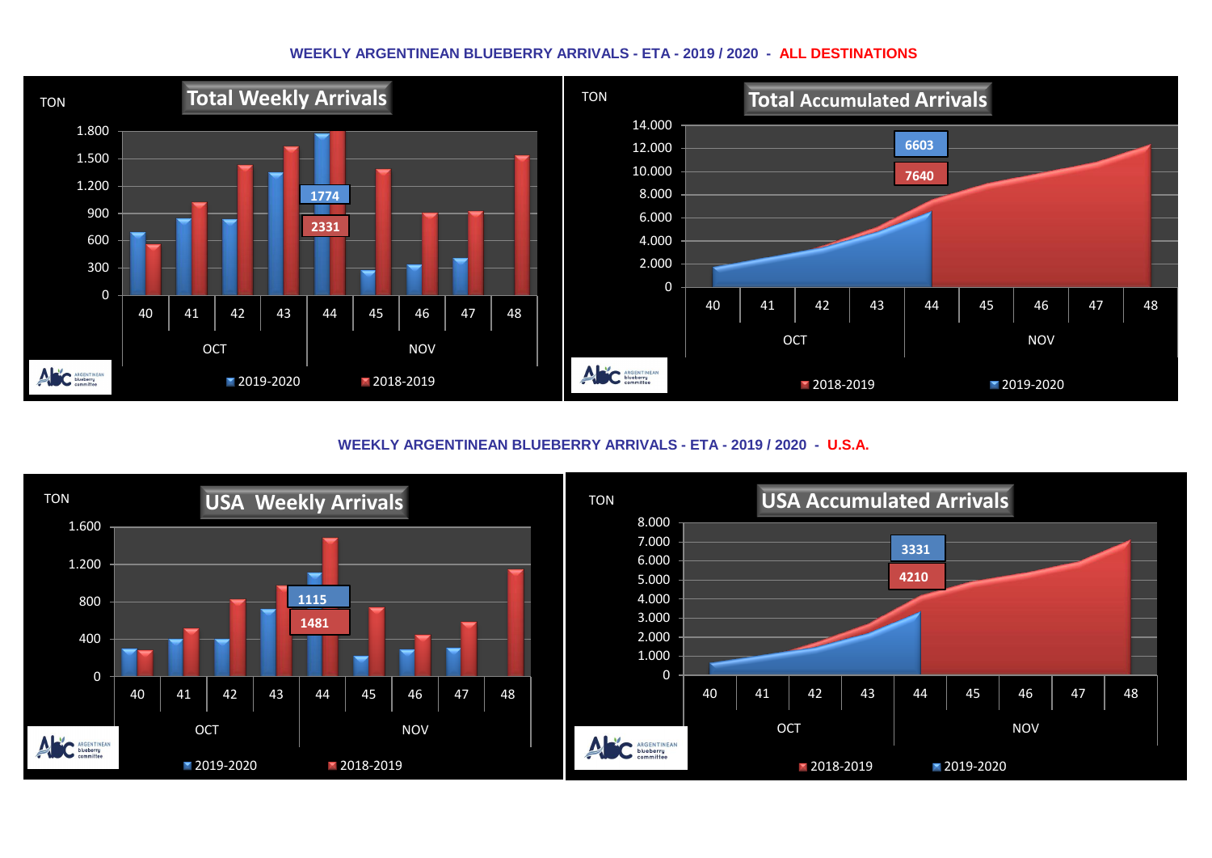## **WEEKLY ARGENTINEAN BLUEBERRY ARRIVALS - ETA - 2019 / 2020 - ALL DESTINATIONS**



**WEEKLY ARGENTINEAN BLUEBERRY ARRIVALS - ETA - 2019 / 2020 - U.S.A.**

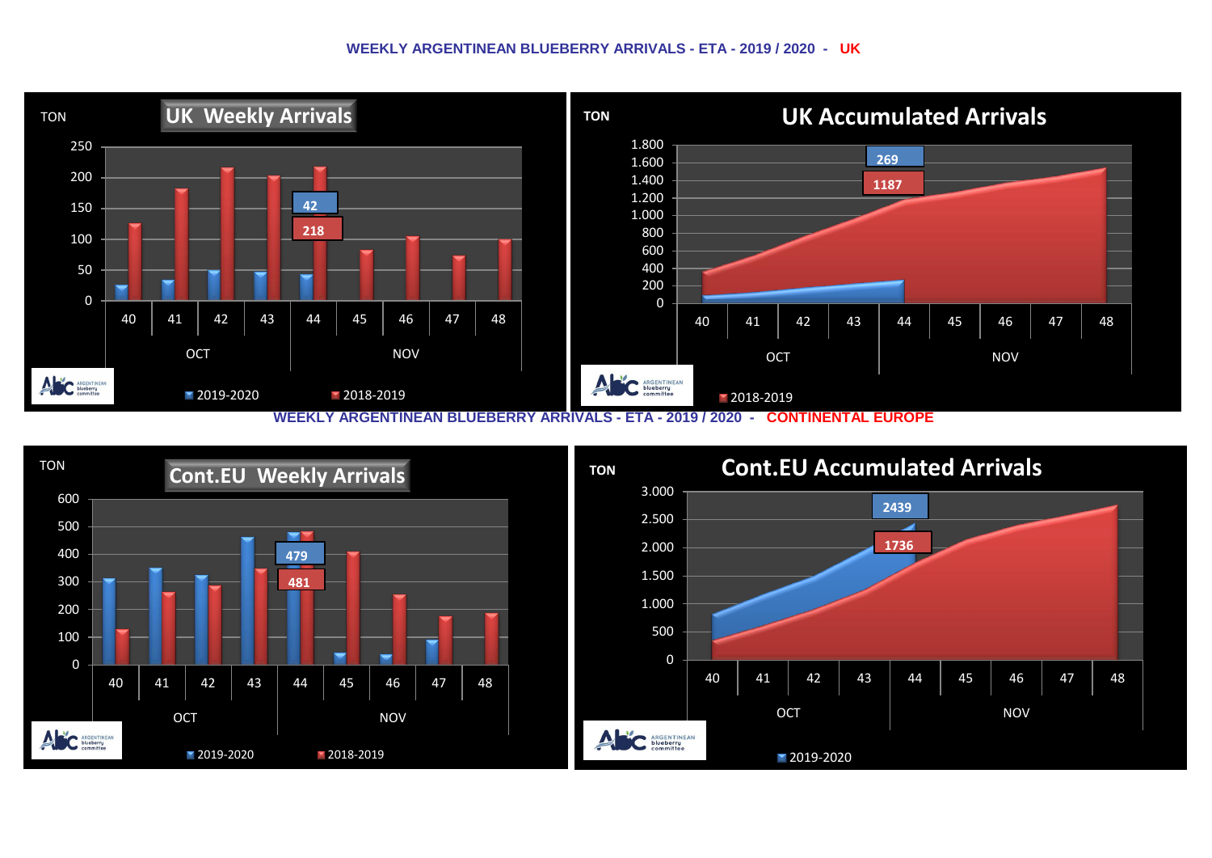## **WEEKLY ARGENTINEAN BLUEBERRY ARRIVALS - ETA - 2019 / 2020 - UK**



**WEEKLY ARGENTINEAN BLUEBERRY ARRIVALS - ETA - 2019 / 2020 - CONTINENTAL EUROPE**